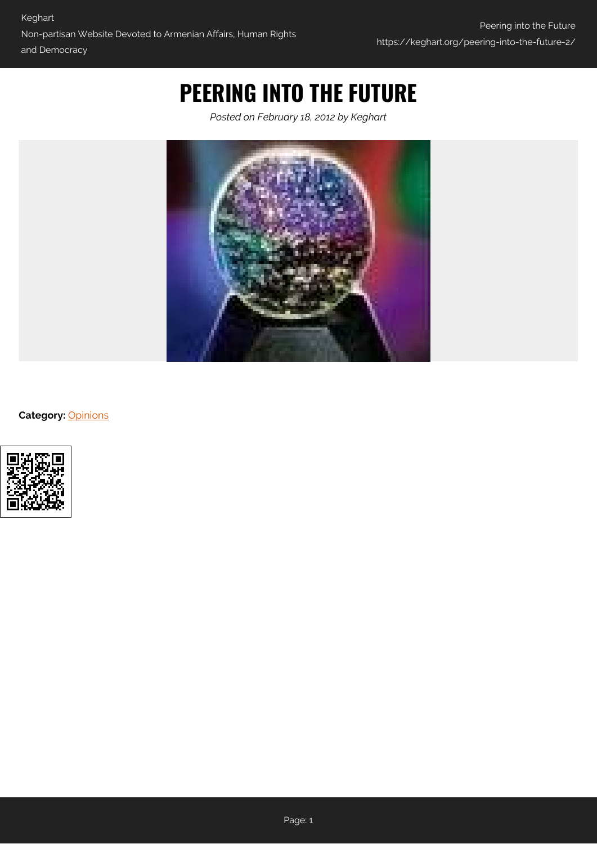## **PEERING INTO THE FUTURE**

*Posted on February 18, 2012 by Keghart*



**Category:** [Opinions](https://keghart.org/category/opinions/)

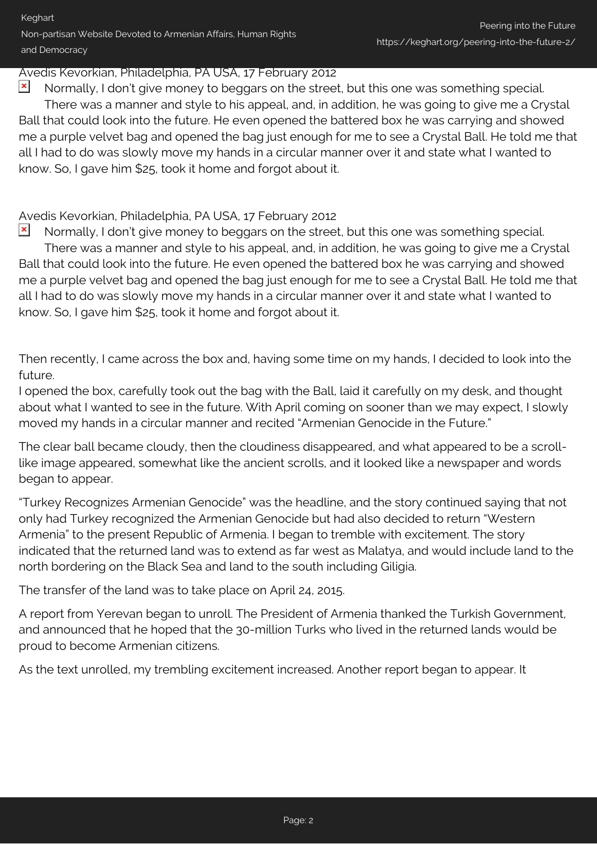## Avedis Kevorkian, Philadelphia, PA USA, 17 February 2012

 $\pmb{\times}$ Normally, I don't give money to beggars on the street, but this one was something special. There was a manner and style to his appeal, and, in addition, he was going to give me a Crystal Ball that could look into the future. He even opened the battered box he was carrying and showed me a purple velvet bag and opened the bag just enough for me to see a Crystal Ball. He told me that all I had to do was slowly move my hands in a circular manner over it and state what I wanted to know. So, I gave him \$25, took it home and forgot about it.

Avedis Kevorkian, Philadelphia, PA USA, 17 February 2012

 $\pmb{\times}$ Normally, I don't give money to beggars on the street, but this one was something special. There was a manner and style to his appeal, and, in addition, he was going to give me a Crystal Ball that could look into the future. He even opened the battered box he was carrying and showed me a purple velvet bag and opened the bag just enough for me to see a Crystal Ball. He told me that all I had to do was slowly move my hands in a circular manner over it and state what I wanted to know. So, I gave him \$25, took it home and forgot about it.

Then recently, I came across the box and, having some time on my hands, I decided to look into the future.

I opened the box, carefully took out the bag with the Ball, laid it carefully on my desk, and thought about what I wanted to see in the future. With April coming on sooner than we may expect, I slowly moved my hands in a circular manner and recited "Armenian Genocide in the Future."

The clear ball became cloudy, then the cloudiness disappeared, and what appeared to be a scrolllike image appeared, somewhat like the ancient scrolls, and it looked like a newspaper and words began to appear.

"Turkey Recognizes Armenian Genocide" was the headline, and the story continued saying that not only had Turkey recognized the Armenian Genocide but had also decided to return "Western Armenia" to the present Republic of Armenia. I began to tremble with excitement. The story indicated that the returned land was to extend as far west as Malatya, and would include land to the north bordering on the Black Sea and land to the south including Giligia.

The transfer of the land was to take place on April 24, 2015.

A report from Yerevan began to unroll. The President of Armenia thanked the Turkish Government, and announced that he hoped that the 30-million Turks who lived in the returned lands would be proud to become Armenian citizens.

As the text unrolled, my trembling excitement increased. Another report began to appear. It